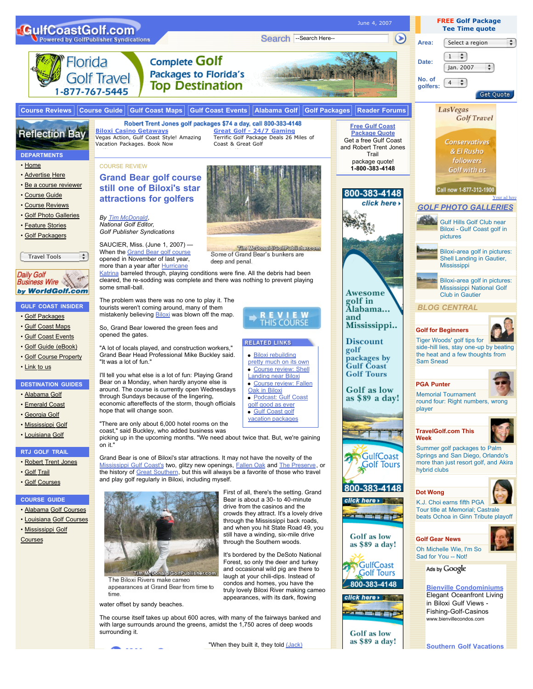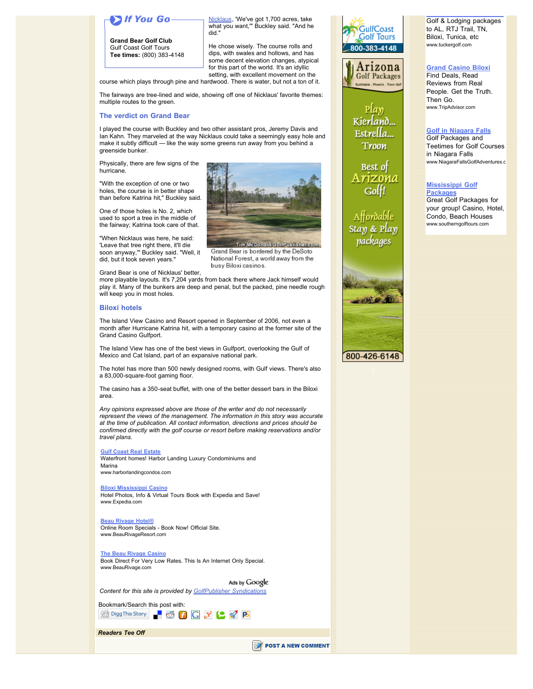# H You Go-

**Grand Bear Golf Club** Gulf Coast Golf Tours **Tee times:** (800) 383-4148

Nicklaus, 'We've got 1,700 acres, take what you want,'" Buckley said. "And he did."

He chose wisely. The course rolls and dips, with swales and hollows, and has some decent elevation changes, atypical for this part of the world. It's an idyllic setting, with excellent movement on the

Tim McDonald/GolfPublisher.com Grand Bear is bordered by the DeSoto National Forest, a world away from the

course which plays through pine and hardwood. There is water, but not a ton of it.

The fairways are tree-lined and wide, showing off one of Nicklaus' favorite themes: multiple routes to the green.

### **The verdict on Grand Bear**

I played the course with Buckley and two other assistant pros, Jeremy Davis and Ian Kahn. They marveled at the way Nicklaus could take a seemingly easy hole and make it subtly difficult — like the way some greens run away from you behind a greenside bunker.

Physically, there are few signs of the hurricane.

"With the exception of one or two holes, the course is in better shape than before Katrina hit," Buckley said.

One of those holes is No. 2, which used to sport a tree in the middle of the fairway; Katrina took care of that.

"When Nicklaus was here, he said: 'Leave that tree right there, it'll die soon anyway,'" Buckley said. "Well, it did, but it took seven years."

Grand Bear is one of Nicklaus' better,

more playable layouts. It's 7,204 yards from back there where Jack himself would play it. Many of the bunkers are deep and penal, but the packed, pine needle rough will keep you in most holes.

busy Biloxi casinos.

### **Biloxi hotels**

The Island View Casino and Resort opened in September of 2006, not even a month after Hurricane Katrina hit, with a temporary casino at the former site of the Grand Casino Gulfport.

The Island View has one of the best views in Gulfport, overlooking the Gulf of Mexico and Cat Island, part of an expansive national park.

The hotel has more than 500 newly designed rooms, with Gulf views. There's also a 83,000-square-foot gaming floor.

The casino has a 350-seat buffet, with one of the better dessert bars in the Biloxi area.

*Any opinions expressed above are those of the writer and do not necessarily represent the views of the management. The information in this story was accurate at the time of publication. All contact information, directions and prices should be confirmed directly with the golf course or resort before making reservations and/or travel plans.*

#### **Gulf Coast Real Estate**

Waterfront homes! Harbor Landing Luxury Condominiums and Marina www.harborlandingcondos.com

#### **Biloxi Mississippi Casino**

Hotel Photos, Info & Virtual Tours Book with Expedia and Save! www.Expedia.com

# **Beau Rivage Hotel®**

Online Room Specials - Book Now! Official Site. www.BeauRivageResort.com

### **The Beau Rivage Casino**

Book Direct For Very Low Rates. This Is An Internet Only Special. www.BeauRivage.com

Ads by Google *Content for this site is provided by GolfPublisher Syndications*

Bookmark/Search this post with: 

*Readers Tee Off*

POST A NEW COMMENT





 $P[ay]$ Kierland... Estrella... Troon

Best of Golf!

Affordable Stay & Play packages



Golf & Lodging packages to AL, RTJ Trail, TN, Biloxi, Tunica, etc www.tuckergolf.com

**Southern Golf Vacations**

## **Grand Casino Biloxi**

Find Deals, Read Reviews from Real People. Get the Truth. Then Go. www.TripAdvisor.com

### **Golf in Niagara Falls** Golf Packages and

Teetimes for Golf Courses in Niagara Falls www.NiagaraFallsGolfAdventures.c

### **Mississippi Golf Packages**

Great Golf Packages for your group! Casino, Hotel, Condo, Beach Houses www.southerngolftours.com